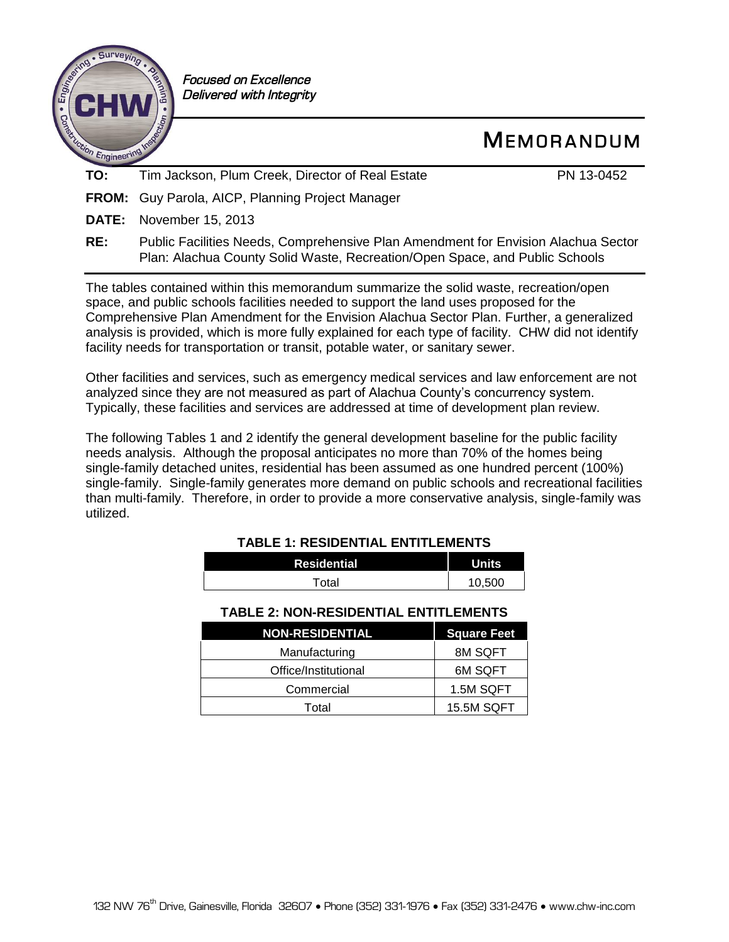

 *Focused on Excellence Delivered with Integrity*

# **ME M O R A N D U M**

**TO:** Tim Jackson, Plum Creek, Director of Real Estate PN 13-0452

**FROM:** Guy Parola, AICP, Planning Project Manager

**DATE:** November 15, 2013

The tables contained within this memorandum summarize the solid waste, recreation/open space, and public schools facilities needed to support the land uses proposed for the Comprehensive Plan Amendment for the Envision Alachua Sector Plan. Further, a generalized analysis is provided, which is more fully explained for each type of facility. CHW did not identify facility needs for transportation or transit, potable water, or sanitary sewer.

Other facilities and services, such as emergency medical services and law enforcement are not analyzed since they are not measured as part of Alachua County's concurrency system. Typically, these facilities and services are addressed at time of development plan review.

The following Tables 1 and 2 identify the general development baseline for the public facility needs analysis. Although the proposal anticipates no more than 70% of the homes being single-family detached unites, residential has been assumed as one hundred percent (100%) single-family. Single-family generates more demand on public schools and recreational facilities than multi-family. Therefore, in order to provide a more conservative analysis, single-family was utilized.

# **TABLE 1: RESIDENTIAL ENTITLEMENTS Residential Units** Total 10,500

### **TABLE 2: NON-RESIDENTIAL ENTITLEMENTS**

| <b>NON-RESIDENTIAL</b> | <b>Square Feet</b> |
|------------------------|--------------------|
| Manufacturing          | 8M SQFT            |
| Office/Institutional   | 6M SQFT            |
| Commercial             | 1.5M SQFT          |
| Total                  | 15.5M SQFT         |

**RE:** Public Facilities Needs, Comprehensive Plan Amendment for Envision Alachua Sector Plan: Alachua County Solid Waste, Recreation/Open Space, and Public Schools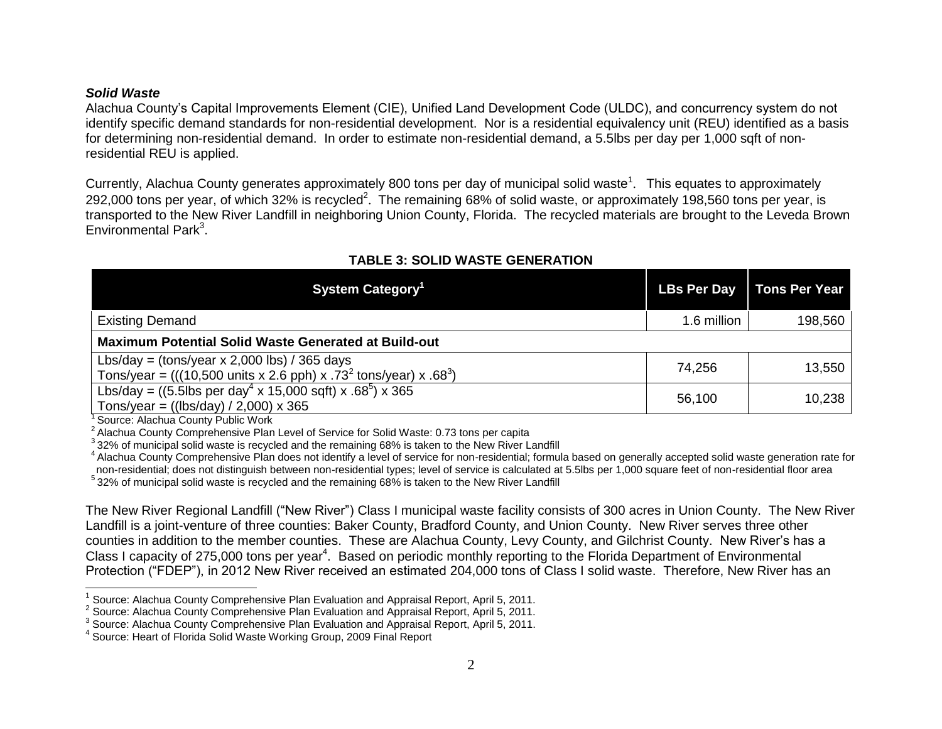#### *Solid Waste*

Alachua County's Capital Improvements Element (CIE), Unified Land Development Code (ULDC), and concurrency system do not identify specific demand standards for non-residential development. Nor is a residential equivalency unit (REU) identified as a basis for determining non-residential demand. In order to estimate non-residential demand, a 5.5lbs per day per 1,000 sqft of nonresidential REU is applied.

Currently, Alachua County generates approximately 800 tons per day of municipal solid waste<sup>1</sup>. This equates to approximately 292,000 tons per year, of which 32% is recycled<sup>2</sup>. The remaining 68% of solid waste, or approximately 198,560 tons per year, is transported to the New River Landfill in neighboring Union County, Florida. The recycled materials are brought to the Leveda Brown Environmental Park<sup>3</sup>.

| System Category <sup>1</sup>                                                                                                                                                 |             | LBs Per Day   Tons Per Year |  |  |  |
|------------------------------------------------------------------------------------------------------------------------------------------------------------------------------|-------------|-----------------------------|--|--|--|
| <b>Existing Demand</b>                                                                                                                                                       | 1.6 million | 198,560                     |  |  |  |
| <b>Maximum Potential Solid Waste Generated at Build-out</b>                                                                                                                  |             |                             |  |  |  |
| Lbs/day = $\frac{\text{tons}}{\text{year}} \times 2,000 \text{ lbs}$ / 365 days<br>Tons/year = (((10,500 units x 2.6 pph) x .73 <sup>2</sup> tons/year) x .68 <sup>3</sup> ) | 74,256      | 13,550                      |  |  |  |
| Lbs/day = ((5.5lbs per day <sup>4</sup> x 15,000 sqft) x .68 <sup>5</sup> ) x 365<br>Tons/year = $((\text{lbs/day}) / 2,000) \times 365$                                     | 56,100      | 10,238                      |  |  |  |

# **TABLE 3: SOLID WASTE GENERATION**

<sup>1</sup> Source: Alachua County Public Work

 $\overline{a}$ 

<sup>2</sup> Alachua County Comprehensive Plan Level of Service for Solid Waste: 0.73 tons per capita

 $3$ 32% of municipal solid waste is recycled and the remaining 68% is taken to the New River Landfill

<sup>4</sup> Alachua County Comprehensive Plan does not identify a level of service for non-residential; formula based on generally accepted solid waste generation rate for non-residential; does not distinguish between non-residential types; level of service is calculated at 5.5lbs per 1,000 square feet of non-residential floor area

<sup>5</sup> 32% of municipal solid waste is recycled and the remaining 68% is taken to the New River Landfill

The New River Regional Landfill ("New River") Class I municipal waste facility consists of 300 acres in Union County. The New River Landfill is a joint-venture of three counties: Baker County, Bradford County, and Union County. New River serves three other counties in addition to the member counties. These are Alachua County, Levy County, and Gilchrist County. New River's has a Class I capacity of 275,000 tons per year<sup>4</sup>. Based on periodic monthly reporting to the Florida Department of Environmental Protection ("FDEP"), in 2012 New River received an estimated 204,000 tons of Class I solid waste. Therefore, New River has an

<sup>&</sup>lt;sup>1</sup> Source: Alachua County Comprehensive Plan Evaluation and Appraisal Report, April 5, 2011.

<sup>&</sup>lt;sup>2</sup> Source: Alachua County Comprehensive Plan Evaluation and Appraisal Report, April 5, 2011.

 $3$  Source: Alachua County Comprehensive Plan Evaluation and Appraisal Report, April 5, 2011.

<sup>4</sup> Source: Heart of Florida Solid Waste Working Group, 2009 Final Report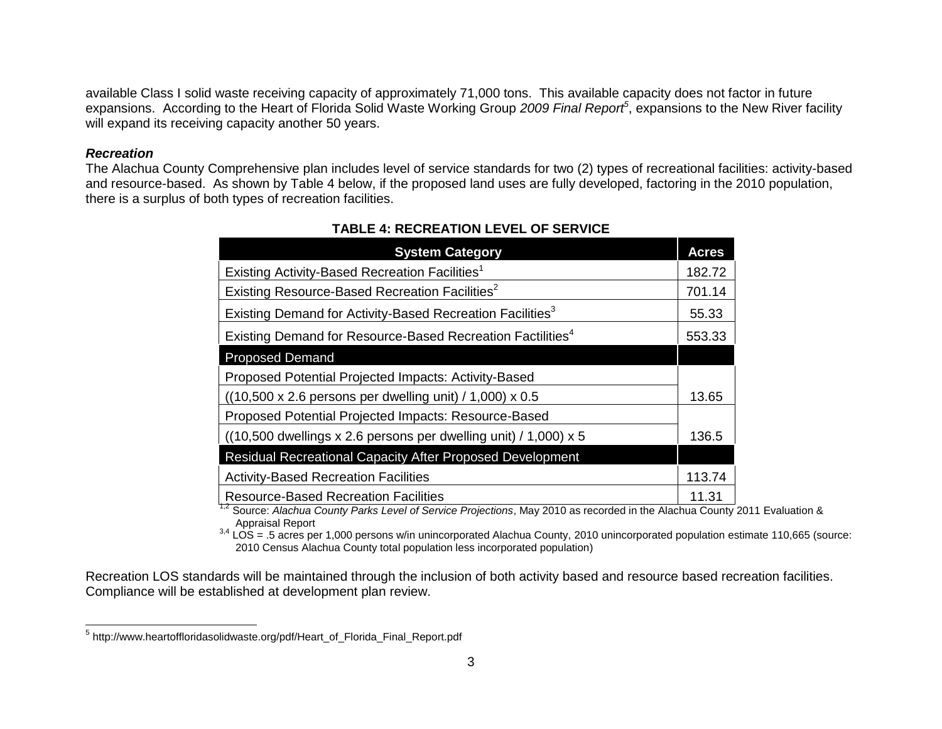available Class I solid waste receiving capacity of approximately 71,000 tons. This available capacity does not factor in future expansions. According to the Heart of Florida Solid Waste Working Group *2009 Final Report<sup>5</sup>* , expansions to the New River facility will expand its receiving capacity another 50 years.

#### *Recreation*

The Alachua County Comprehensive plan includes level of service standards for two (2) types of recreational facilities: activity-based and resource-based. As shown by Table 4 below, if the proposed land uses are fully developed, factoring in the 2010 population, there is a surplus of both types of recreation facilities.

| <b>System Category</b>                                                                       | <b>Acres</b> |
|----------------------------------------------------------------------------------------------|--------------|
| Existing Activity-Based Recreation Facilities <sup>1</sup>                                   | 182.72       |
| Existing Resource-Based Recreation Facilities <sup>2</sup>                                   | 701.14       |
| Existing Demand for Activity-Based Recreation Facilities <sup>3</sup>                        | 55.33        |
| Existing Demand for Resource-Based Recreation Factilities <sup>4</sup>                       | 553.33       |
| <b>Proposed Demand</b>                                                                       |              |
| Proposed Potential Projected Impacts: Activity-Based                                         |              |
| $((10,500 \times 2.6 \text{ persons per dwelling unit}) / 1,000) \times 0.5$                 | 13.65        |
| Proposed Potential Projected Impacts: Resource-Based                                         |              |
| $((10,500 \text{ dwellings} \times 2.6 \text{ persons per dwelling unit}) / 1,000) \times 5$ | 136.5        |
| Residual Recreational Capacity After Proposed Development                                    |              |
| <b>Activity-Based Recreation Facilities</b>                                                  | 113.74       |
| <b>Resource-Based Recreation Facilities</b>                                                  | 11.31        |

## **TABLE 4: RECREATION LEVEL OF SERVICE**

1,2 Source: *Alachua County Parks Level of Service Projections*, May 2010 as recorded in the Alachua County 2011 Evaluation & Appraisal Report

 $3,4$  LOS = .5 acres per 1,000 persons w/in unincorporated Alachua County, 2010 unincorporated population estimate 110,665 (source: 2010 Census Alachua County total population less incorporated population)

Recreation LOS standards will be maintained through the inclusion of both activity based and resource based recreation facilities. Compliance will be established at development plan review.

 5 http://www.heartoffloridasolidwaste.org/pdf/Heart\_of\_Florida\_Final\_Report.pdf